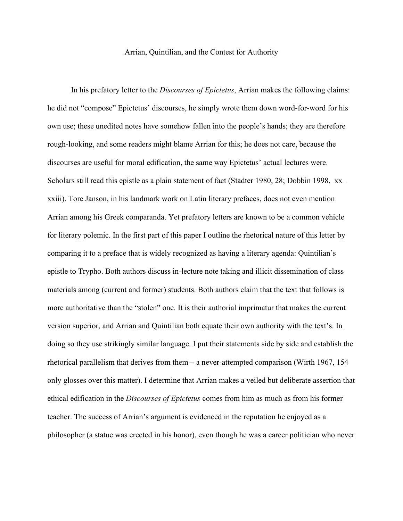## Arrian, Quintilian, and the Contest for Authority

In his prefatory letter to the *Discourses of Epictetus*, Arrian makes the following claims: he did not "compose" Epictetus' discourses, he simply wrote them down word-for-word for his own use; these unedited notes have somehow fallen into the people's hands; they are therefore rough-looking, and some readers might blame Arrian for this; he does not care, because the discourses are useful for moral edification, the same way Epictetus' actual lectures were. Scholars still read this epistle as a plain statement of fact (Stadter 1980, 28; Dobbin 1998, xx– xxiii). Tore Janson, in his landmark work on Latin literary prefaces, does not even mention Arrian among his Greek comparanda. Yet prefatory letters are known to be a common vehicle for literary polemic. In the first part of this paper I outline the rhetorical nature of this letter by comparing it to a preface that is widely recognized as having a literary agenda: Quintilian's epistle to Trypho. Both authors discuss in-lecture note taking and illicit dissemination of class materials among (current and former) students. Both authors claim that the text that follows is more authoritative than the "stolen" one. It is their authorial imprimatur that makes the current version superior, and Arrian and Quintilian both equate their own authority with the text's. In doing so they use strikingly similar language. I put their statements side by side and establish the rhetorical parallelism that derives from them – a never-attempted comparison (Wirth 1967, 154 only glosses over this matter). I determine that Arrian makes a veiled but deliberate assertion that ethical edification in the *Discourses of Epictetus* comes from him as much as from his former teacher. The success of Arrian's argument is evidenced in the reputation he enjoyed as a philosopher (a statue was erected in his honor), even though he was a career politician who never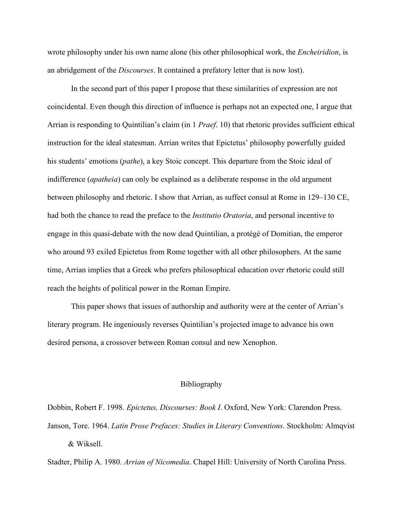wrote philosophy under his own name alone (his other philosophical work, the *Encheiridion*, is an abridgement of the *Discourses*. It contained a prefatory letter that is now lost).

In the second part of this paper I propose that these similarities of expression are not coincidental. Even though this direction of influence is perhaps not an expected one, I argue that Arrian is responding to Quintilian's claim (in 1 *Praef*. 10) that rhetoric provides sufficient ethical instruction for the ideal statesman. Arrian writes that Epictetus' philosophy powerfully guided his students' emotions (*pathe*), a key Stoic concept. This departure from the Stoic ideal of indifference (*apatheia*) can only be explained as a deliberate response in the old argument between philosophy and rhetoric. I show that Arrian, as suffect consul at Rome in 129–130 CE, had both the chance to read the preface to the *Institutio Oratoria*, and personal incentive to engage in this quasi-debate with the now dead Quintilian, a protégé of Domitian, the emperor who around 93 exiled Epictetus from Rome together with all other philosophers. At the same time, Arrian implies that a Greek who prefers philosophical education over rhetoric could still reach the heights of political power in the Roman Empire.

This paper shows that issues of authorship and authority were at the center of Arrian's literary program. He ingeniously reverses Quintilian's projected image to advance his own desired persona, a crossover between Roman consul and new Xenophon.

## Bibliography

Dobbin, Robert F. 1998. *Epictetus, Discourses: Book I*. Oxford, New York: Clarendon Press. Janson, Tore. 1964. *Latin Prose Prefaces: Studies in Literary Conventions*. Stockholm: Almqvist & Wiksell.

Stadter, Philip A. 1980. *Arrian of Nicomedia*. Chapel Hill: University of North Carolina Press.